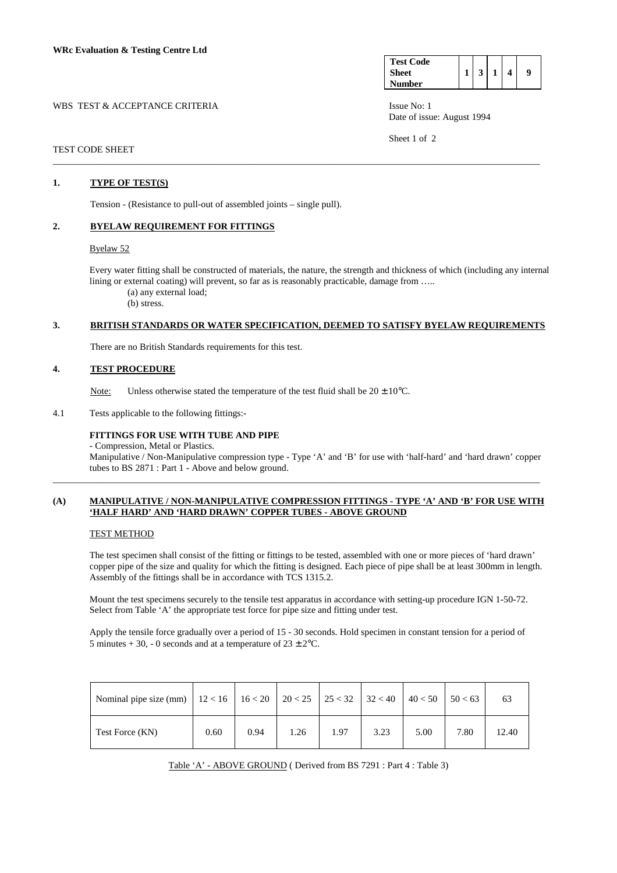| <b>Test Code</b> |   |  |   |
|------------------|---|--|---|
| <b>Sheet</b>     | 3 |  | 9 |
| Number           |   |  |   |

Date of issue: August 1994

Sheet 1 of 2

### WBS TEST & ACCEPTANCE CRITERIA **ISSUE No:** 1 SSUE No: 1

#### TEST CODE SHEET \_\_\_\_\_\_\_\_\_\_\_\_\_\_\_\_\_\_\_\_\_\_\_\_\_\_\_\_\_\_\_\_\_\_\_\_\_\_\_\_\_\_\_\_\_\_\_\_\_\_\_\_\_\_\_\_\_\_\_\_\_\_\_\_\_\_\_\_\_\_\_\_\_\_\_\_\_\_\_\_\_\_\_\_\_\_\_\_\_\_\_\_\_\_\_\_\_\_\_\_\_\_\_

## **1. TYPE OF TEST(S)**

Tension - (Resistance to pull-out of assembled joints – single pull).

## **2. BYELAW REQUIREMENT FOR FITTINGS**

### Byelaw 52

 Every water fitting shall be constructed of materials, the nature, the strength and thickness of which (including any internal lining or external coating) will prevent, so far as is reasonably practicable, damage from .....

(a) any external load;

(b) stress.

# **3. BRITISH STANDARDS OR WATER SPECIFICATION, DEEMED TO SATISFY BYELAW REQUIREMENTS**

There are no British Standards requirements for this test.

### **4. TEST PROCEDURE**

Note: Unless otherwise stated the temperature of the test fluid shall be  $20 \pm 10^{\circ}$ C.

4.1 Tests applicable to the following fittings:-

## **FITTINGS FOR USE WITH TUBE AND PIPE**

- Compression, Metal or Plastics.

 Manipulative / Non-Manipulative compression type - Type 'A' and 'B' for use with 'half-hard' and 'hard drawn' copper tubes to BS 2871 : Part 1 - Above and below ground.

#### **(A) MANIPULATIVE / NON-MANIPULATIVE COMPRESSION FITTINGS - TYPE 'A' AND 'B' FOR USE WITH 'HALF HARD' AND 'HARD DRAWN' COPPER TUBES - ABOVE GROUND**

\_\_\_\_\_\_\_\_\_\_\_\_\_\_\_\_\_\_\_\_\_\_\_\_\_\_\_\_\_\_\_\_\_\_\_\_\_\_\_\_\_\_\_\_\_\_\_\_\_\_\_\_\_\_\_\_\_\_\_\_\_\_\_\_\_\_\_\_\_\_\_\_\_\_\_\_\_\_\_\_\_\_\_\_\_\_\_\_\_\_\_\_\_\_\_\_\_\_\_\_\_\_\_

#### TEST METHOD

 The test specimen shall consist of the fitting or fittings to be tested, assembled with one or more pieces of 'hard drawn' copper pipe of the size and quality for which the fitting is designed. Each piece of pipe shall be at least 300mm in length. Assembly of the fittings shall be in accordance with TCS 1315.2.

 Mount the test specimens securely to the tensile test apparatus in accordance with setting-up procedure IGN 1-50-72. Select from Table 'A' the appropriate test force for pipe size and fitting under test.

 Apply the tensile force gradually over a period of 15 - 30 seconds. Hold specimen in constant tension for a period of 5 minutes + 30, - 0 seconds and at a temperature of  $23 \pm 2$ °C.

| Nominal pipe size (mm)   $12 < 16$   $16 < 20$   $20 < 25$   $25 < 32$   $32 < 40$   $40 < 50$   $50 < 63$ |      |      |      |      |      |      |      | 63    |
|------------------------------------------------------------------------------------------------------------|------|------|------|------|------|------|------|-------|
| Test Force (KN)                                                                                            | 0.60 | 0.94 | 1.26 | 1.97 | 3.23 | 5.00 | 7.80 | 12.40 |

Table 'A' - ABOVE GROUND ( Derived from BS 7291 : Part 4 : Table 3)